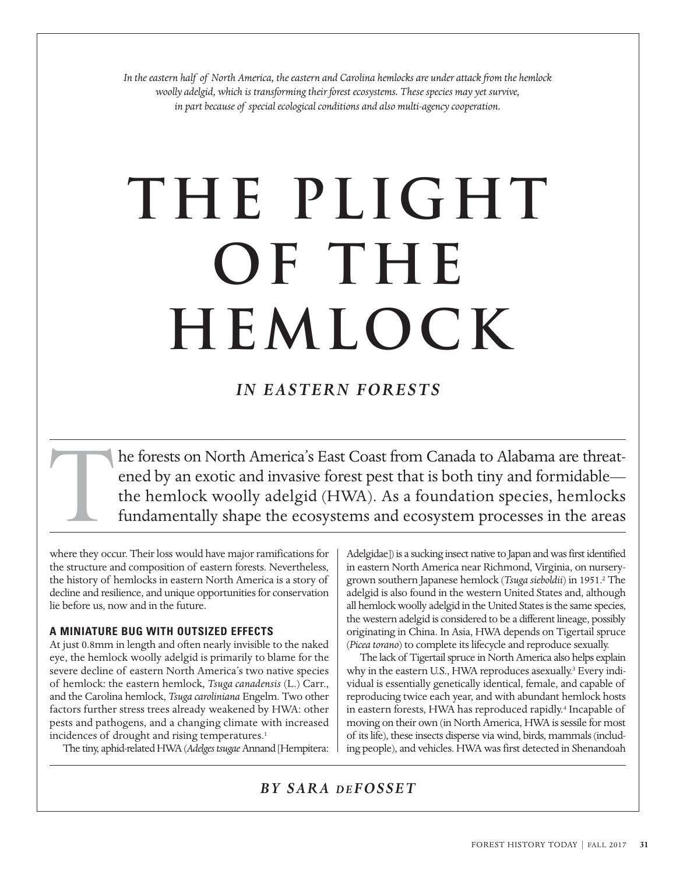*In the eastern half of North America, the eastern and Carolina hemlocks are under attack from the hemlock woolly adelgid, which is transforming their forest ecosystems. These species may yet survive, in part because of special ecological conditions and also multi-agency cooperation.*

# **The Plight OF THE Hemlock**

*IN EASTERN FORESTS*

he forests on North America's East Coast from Canada to Alabama are threatened by an exotic and invasive forest pest that is both tiny and formidable the hemlock woolly adelgid (HWA). As a foundation species, hemlocks fundamentally shape the ecosystems and ecosystem processes in the areas T

where they occur. Their loss would have major ramifications for the structure and composition of eastern forests. Nevertheless, the history of hemlocks in eastern North America is a story of decline and resilience, and unique opportunities for conservation lie before us, now and in the future.

# **A MINIATURE BUG WITH OUTSIZED EFFECTS**

At just 0.8mm in length and often nearly invisible to the naked eye, the hemlock woolly adelgid is primarily to blame for the severe decline of eastern North America's two native species of hemlock: the eastern hemlock, *Tsuga canadensis* (L.) Carr., and the Carolina hemlock, *Tsuga caroliniana* Engelm. Two other factors further stress trees already weakened by HWA: other pests and pathogens, and a changing climate with increased incidences of drought and rising temperatures.<sup>1</sup>

The tiny, aphid-related HWA (Adelges tsugae Annand [Hempitera:

Adelgidae]) is a sucking insect native to Japan and was first identified in eastern North America near Richmond, Virginia, on nurserygrown southern Japanese hemlock (*Tsuga sieboldii*) in 1951.<sup>2</sup> The adelgid is also found in the western United States and, although all hemlock woolly adelgid in the United States is the same species, the western adelgid is considered to be a different lineage, possibly originating in China. In Asia, HWA depends on Tigertail spruce (*Picea torano*) to complete its lifecycle and reproduce sexually.

The lack of Tigertail spruce in North America also helps explain why in the eastern U.S., HWA reproduces asexually.<sup>3</sup> Every individual is essentially genetically identical, female, and capable of reproducing twice each year, and with abundant hemlock hosts in eastern forests, HWA has reproduced rapidly.<sup>4</sup> Incapable of moving on their own (in North America, HWA is sessile for most of its life), these insects disperse via wind, birds, mammals (including people), and vehicles. HWA was first detected in Shenandoah

*BY SARA D E FOSSET*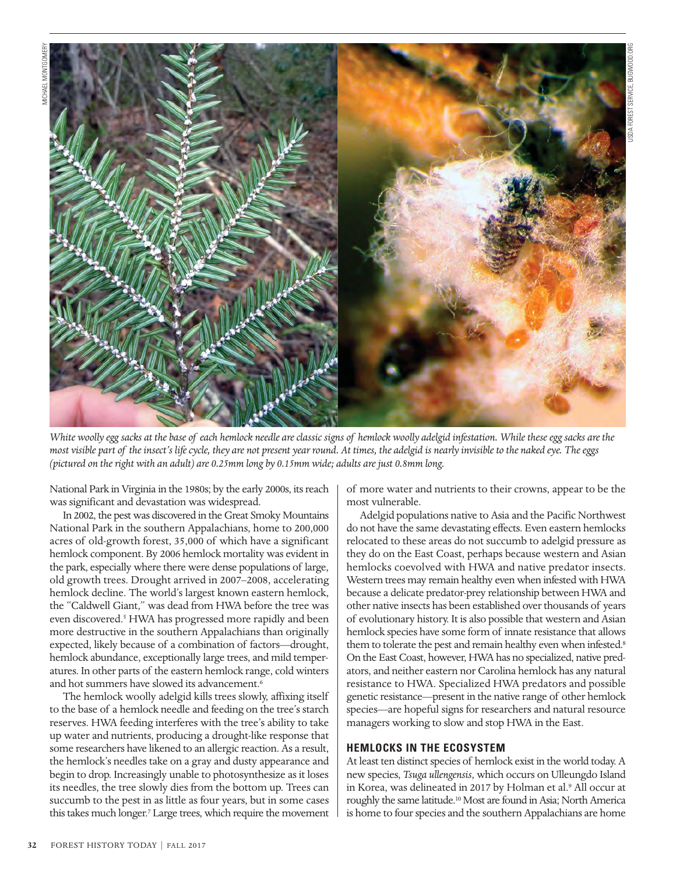

*White woolly egg sacks at the base of each hemlock needle are classic signs of hemlock woolly adelgid infestation. While these egg sacks are the most visible part of the insect's life cycle, they are not present year round. At times, the adelgid is nearly invisible to the naked eye. The eggs (pictured on the right with an adult) are 0.25mm long by 0.15mm wide; adults are just 0.8mm long.*

National Park in Virginia in the 1980s; by the early 2000s, its reach was significant and devastation was widespread.

In 2002, the pest was discovered in the Great Smoky Mountains National Park in the southern Appalachians, home to 200,000 acres of old-growth forest, 35,000 of which have a significant hemlock component. By 2006 hemlock mortality was evident in the park, especially where there were dense populations of large, old growth trees. Drought arrived in 2007–2008, accelerating hemlock decline. The world's largest known eastern hemlock, the "Caldwell Giant," was dead from HWA before the tree was even discovered.<sup>5</sup> HWA has progressed more rapidly and been more destructive in the southern Appalachians than originally expected, likely because of a combination of factors—drought, hemlock abundance, exceptionally large trees, and mild temperatures. In other parts of the eastern hemlock range, cold winters and hot summers have slowed its advancement.<sup>6</sup>

The hemlock woolly adelgid kills trees slowly, affixing itself to the base of a hemlock needle and feeding on the tree's starch reserves. HWA feeding interferes with the tree's ability to take up water and nutrients, producing a drought-like response that some researchers have likened to an allergic reaction. As a result, the hemlock's needles take on a gray and dusty appearance and begin to drop. Increasingly unable to photosynthesize as it loses its needles, the tree slowly dies from the bottom up. Trees can succumb to the pest in as little as four years, but in some cases this takes much longer.7 Large trees, which require the movement

of more water and nutrients to their crowns, appear to be the most vulnerable.

USDA FOREST SERVICE, BUGWOOD.ORG

Adelgid populations native to Asia and the Pacific Northwest do not have the same devastating effects. Even eastern hemlocks relocated to these areas do not succumb to adelgid pressure as they do on the East Coast, perhaps because western and Asian hemlocks coevolved with HWA and native predator insects. Western trees may remain healthy even when infested with HWA because a delicate predator-prey relationship between HWA and other native insects has been established over thousands of years of evolutionary history. It is also possible that western and Asian hemlock species have some form of innate resistance that allows them to tolerate the pest and remain healthy even when infested.<sup>8</sup> On the East Coast, however, HWA has no specialized, native predators, and neither eastern nor Carolina hemlock has any natural resistance to HWA. Specialized HWA predators and possible genetic resistance—present in the native range of other hemlock species—are hopeful signs for researchers and natural resource managers working to slow and stop HWA in the East.

### **HEMLOCKS IN THE ECOSYSTEM**

At least ten distinct species of hemlock exist in the world today. A new species, *Tsuga ullengensis*, which occurs on Ulleungdo Island in Korea, was delineated in 2017 by Holman et al.<sup>9</sup> All occur at roughly the same latitude.10 Most are found in Asia; North America is home to four species and the southern Appalachians are home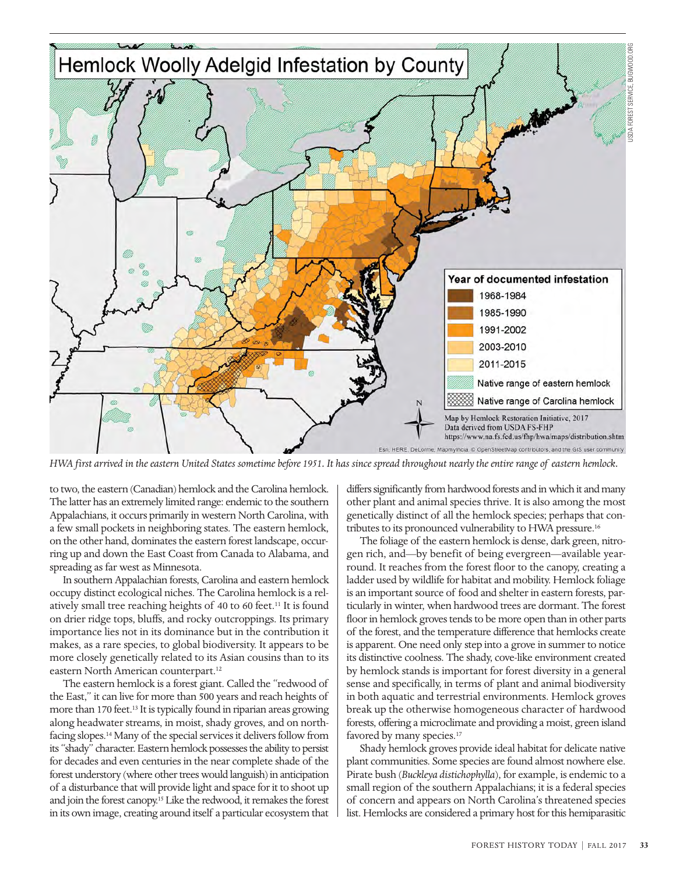

*HWA first arrived in the eastern United States sometime before 1951. It has since spread throughout nearly the entire range of eastern hemlock.* 

to two, the eastern (Canadian) hemlock and the Carolina hemlock. The latter has an extremely limited range: endemic to the southern Appalachians, it occurs primarily in western North Carolina, with a few small pockets in neighboring states. The eastern hemlock, on the other hand, dominates the eastern forest landscape, occurring up and down the East Coast from Canada to Alabama, and spreading as far west as Minnesota.

In southern Appalachian forests, Carolina and eastern hemlock occupy distinct ecological niches. The Carolina hemlock is a relatively small tree reaching heights of 40 to 60 feet.<sup>11</sup> It is found on drier ridge tops, bluffs, and rocky outcroppings. Its primary importance lies not in its dominance but in the contribution it makes, as a rare species, to global biodiversity. It appears to be more closely genetically related to its Asian cousins than to its eastern North American counterpart.12

The eastern hemlock is a forest giant. Called the "redwood of the East," it can live for more than 500 years and reach heights of more than 170 feet.<sup>13</sup> It is typically found in riparian areas growing along headwater streams, in moist, shady groves, and on northfacing slopes.14 Many of the special services it delivers follow from its "shady" character. Eastern hemlock possesses the ability to persist for decades and even centuries in the near complete shade of the forest understory (where other trees would languish) in anticipation of a disturbance that will provide light and space for it to shoot up and join the forest canopy.15 Like the redwood, it remakes the forest in its own image, creating around itself a particular ecosystem that

differs significantly from hardwood forests and in which it and many other plant and animal species thrive. It is also among the most genetically distinct of all the hemlock species; perhaps that contributes to its pronounced vulnerability to HWA pressure.16

The foliage of the eastern hemlock is dense, dark green, nitrogen rich, and—by benefit of being evergreen—available yearround. It reaches from the forest floor to the canopy, creating a ladder used by wildlife for habitat and mobility. Hemlock foliage is an important source of food and shelter in eastern forests, particularly in winter, when hardwood trees are dormant. The forest floor in hemlock groves tends to be more open than in other parts of the forest, and the temperature difference that hemlocks create is apparent. One need only step into a grove in summer to notice its distinctive coolness. The shady, cove-like environment created by hemlock stands is important for forest diversity in a general sense and specifically, in terms of plant and animal biodiversity in both aquatic and terrestrial environments. Hemlock groves break up the otherwise homogeneous character of hardwood forests, offering a microclimate and providing a moist, green island favored by many species.<sup>17</sup>

Shady hemlock groves provide ideal habitat for delicate native plant communities. Some species are found almost nowhere else. Pirate bush (*Buckleya distichophylla*), for example, is endemic to a small region of the southern Appalachians; it is a federal species of concern and appears on North Carolina's threatened species list. Hemlocks are considered a primary host for this hemiparasitic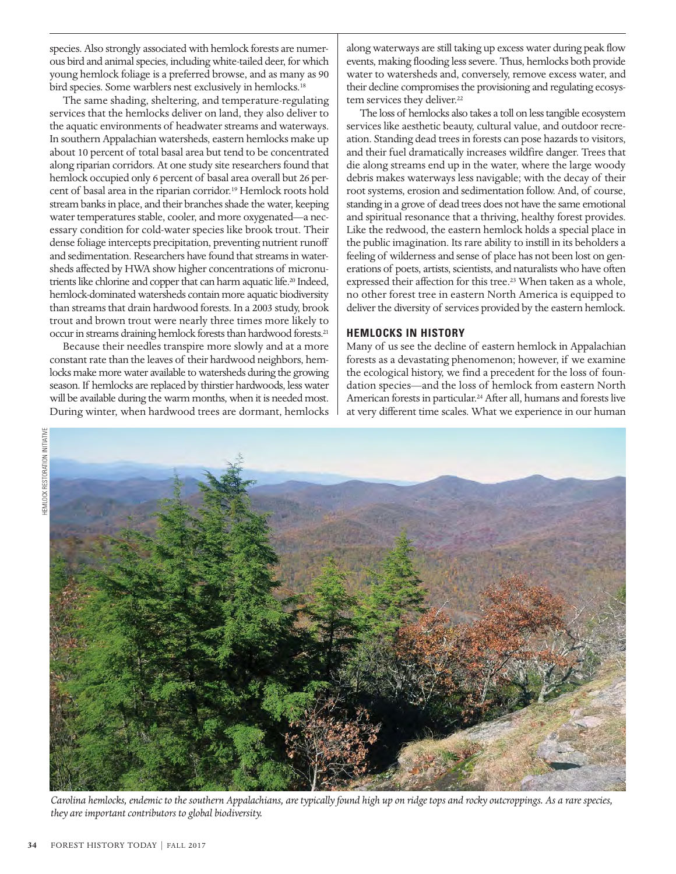species. Also strongly associated with hemlock forests are numerous bird and animal species, including white-tailed deer, for which young hemlock foliage is a preferred browse, and as many as 90 bird species. Some warblers nest exclusively in hemlocks.<sup>18</sup>

The same shading, sheltering, and temperature-regulating services that the hemlocks deliver on land, they also deliver to the aquatic environments of headwater streams and waterways. In southern Appalachian watersheds, eastern hemlocks make up about 10 percent of total basal area but tend to be concentrated along riparian corridors. At one study site researchers found that hemlock occupied only 6 percent of basal area overall but 26 percent of basal area in the riparian corridor.<sup>19</sup> Hemlock roots hold stream banks in place, and their branches shade the water, keeping water temperatures stable, cooler, and more oxygenated—a necessary condition for cold-water species like brook trout. Their dense foliage intercepts precipitation, preventing nutrient runoff and sedimentation. Researchers have found that streams in watersheds affected by HWA show higher concentrations of micronutrients like chlorine and copper that can harm aquatic life.<sup>20</sup> Indeed, hemlock-dominated watersheds contain more aquatic biodiversity than streams that drain hardwood forests. In a 2003 study, brook trout and brown trout were nearly three times more likely to occur in streams draining hemlock forests than hardwood forests.21

Because their needles transpire more slowly and at a more constant rate than the leaves of their hardwood neighbors, hemlocks make more water available to watersheds during the growing season. If hemlocks are replaced by thirstier hardwoods, less water will be available during the warm months, when it is needed most. During winter, when hardwood trees are dormant, hemlocks along waterways are still taking up excess water during peak flow events, making flooding less severe. Thus, hemlocks both provide water to watersheds and, conversely, remove excess water, and their decline compromises the provisioning and regulating ecosystem services they deliver.<sup>22</sup>

The loss of hemlocks also takes a toll on less tangible ecosystem services like aesthetic beauty, cultural value, and outdoor recreation. Standing dead trees in forests can pose hazards to visitors, and their fuel dramatically increases wildfire danger. Trees that die along streams end up in the water, where the large woody debris makes waterways less navigable; with the decay of their root systems, erosion and sedimentation follow. And, of course, standing in a grove of dead trees does not have the same emotional and spiritual resonance that a thriving, healthy forest provides. Like the redwood, the eastern hemlock holds a special place in the public imagination. Its rare ability to instill in its beholders a feeling of wilderness and sense of place has not been lost on generations of poets, artists, scientists, and naturalists who have often expressed their affection for this tree.<sup>23</sup> When taken as a whole, no other forest tree in eastern North America is equipped to deliver the diversity of services provided by the eastern hemlock.

### **HEMLOCKS IN HISTORY**

Many of us see the decline of eastern hemlock in Appalachian forests as a devastating phenomenon; however, if we examine the ecological history, we find a precedent for the loss of foundation species—and the loss of hemlock from eastern North American forests in particular.24 After all, humans and forests live at very different time scales. What we experience in our human



*Carolina hemlocks, endemic to the southern Appalachians, are typically found high up on ridge tops and rocky outcroppings. As a rare species, they are important contributors to global biodiversity.*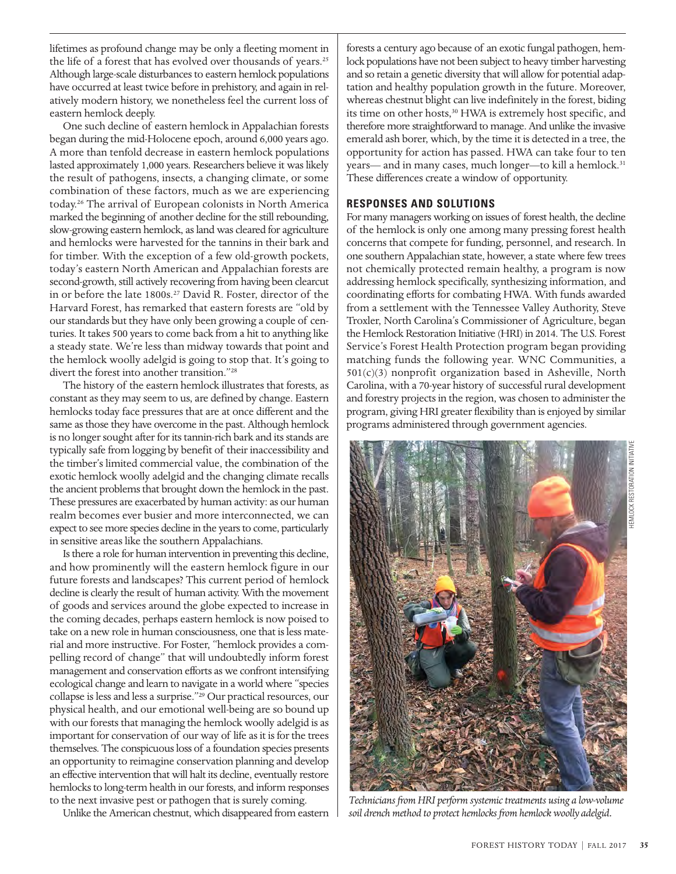lifetimes as profound change may be only a fleeting moment in the life of a forest that has evolved over thousands of years.<sup>25</sup> Although large-scale disturbances to eastern hemlock populations have occurred at least twice before in prehistory, and again in relatively modern history, we nonetheless feel the current loss of eastern hemlock deeply.

One such decline of eastern hemlock in Appalachian forests began during the mid-Holocene epoch, around 6,000 years ago. A more than tenfold decrease in eastern hemlock populations lasted approximately 1,000 years. Researchers believe it was likely the result of pathogens, insects, a changing climate, or some combination of these factors, much as we are experiencing today.26 The arrival of European colonists in North America marked the beginning of another decline for the still rebounding, slow-growing eastern hemlock, as land was cleared for agriculture and hemlocks were harvested for the tannins in their bark and for timber. With the exception of a few old-growth pockets, today's eastern North American and Appalachian forests are second-growth, still actively recovering from having been clearcut in or before the late 1800s.<sup>27</sup> David R. Foster, director of the Harvard Forest, has remarked that eastern forests are "old by our standards but they have only been growing a couple of centuries. It takes 500 years to come back from a hit to anything like a steady state. We're less than midway towards that point and the hemlock woolly adelgid is going to stop that. It's going to divert the forest into another transition."28

The history of the eastern hemlock illustrates that forests, as constant as they may seem to us, are defined by change. Eastern hemlocks today face pressures that are at once different and the same as those they have overcome in the past. Although hemlock is no longer sought after for its tannin-rich bark and its stands are typically safe from logging by benefit of their inaccessibility and the timber's limited commercial value, the combination of the exotic hemlock woolly adelgid and the changing climate recalls the ancient problems that brought down the hemlock in the past. These pressures are exacerbated by human activity: as our human realm becomes ever busier and more interconnected, we can expect to see more species decline in the years to come, particularly in sensitive areas like the southern Appalachians.

Is there a role for human intervention in preventing this decline, and how prominently will the eastern hemlock figure in our future forests and landscapes? This current period of hemlock decline is clearly the result of human activity. With the movement of goods and services around the globe expected to increase in the coming decades, perhaps eastern hemlock is now poised to take on a new role in human consciousness, one that is less material and more instructive. For Foster, "hemlock provides a compelling record of change" that will undoubtedly inform forest management and conservation efforts as we confront intensifying ecological change and learn to navigate in a world where "species collapse is less and less a surprise."29 Our practical resources, our physical health, and our emotional well-being are so bound up with our forests that managing the hemlock woolly adelgid is as important for conservation of our way of life as it is for the trees themselves. The conspicuous loss of a foundation species presents an opportunity to reimagine conservation planning and develop an effective intervention that will halt its decline, eventually restore hemlocks to long-term health in our forests, and inform responses to the next invasive pest or pathogen that is surely coming.

Unlike the American chestnut, which disappeared from eastern

forests a century ago because of an exotic fungal pathogen, hemlock populations have not been subject to heavy timber harvesting and so retain a genetic diversity that will allow for potential adaptation and healthy population growth in the future. Moreover, whereas chestnut blight can live indefinitely in the forest, biding its time on other hosts,<sup>30</sup> HWA is extremely host specific, and therefore more straightforward to manage. And unlike the invasive emerald ash borer, which, by the time it is detected in a tree, the opportunity for action has passed. HWA can take four to ten years— and in many cases, much longer—to kill a hemlock.31 These differences create a window of opportunity.

## **RESPONSES AND SOLUTIONS**

For many managers working on issues of forest health, the decline of the hemlock is only one among many pressing forest health concerns that compete for funding, personnel, and research. In one southern Appalachian state, however, a state where few trees not chemically protected remain healthy, a program is now addressing hemlock specifically, synthesizing information, and coordinating efforts for combating HWA. With funds awarded from a settlement with the Tennessee Valley Authority, Steve Troxler, North Carolina's Commissioner of Agriculture, began the Hemlock Restoration Initiative (HRI) in 2014. The U.S. Forest Service's Forest Health Protection program began providing matching funds the following year. WNC Communities, a  $501(c)(3)$  nonprofit organization based in Asheville, North Carolina, with a 70-year history of successful rural development and forestry projects in the region, was chosen to administer the program, giving HRI greater flexibility than is enjoyed by similar programs administered through government agencies.



*Technicians from HRI perform systemic treatments using a low-volume soil drench method to protect hemlocks from hemlock woolly adelgid.*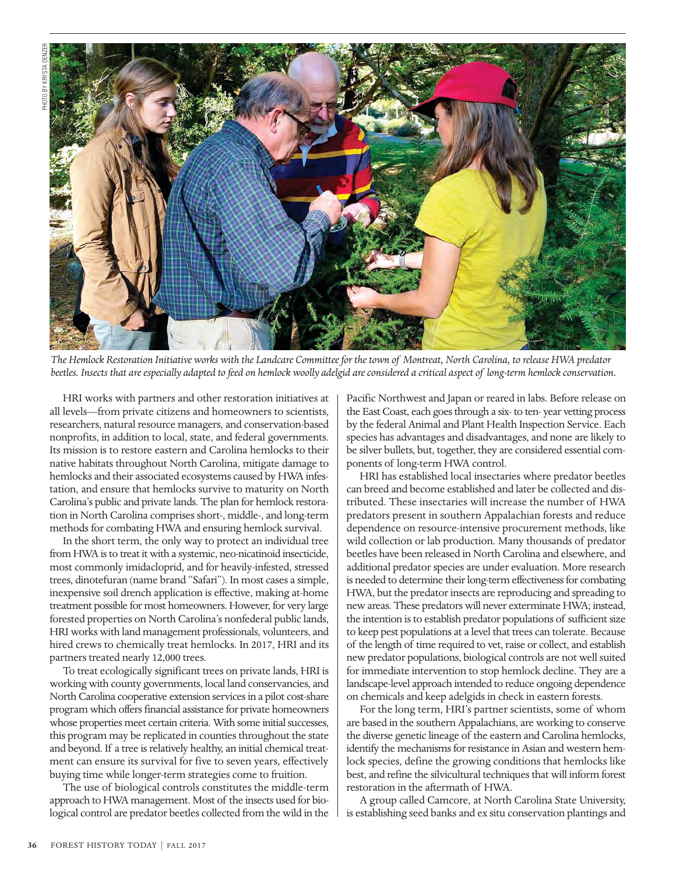

*The Hemlock Restoration Initiative works with the Landcare Committee for the town of Montreat, North Carolina, to release HWA predator beetles. Insects that are especially adapted to feed on hemlock woolly adelgid are considered a critical aspect of long-term hemlock conservation.*

HRI works with partners and other restoration initiatives at all levels—from private citizens and homeowners to scientists, researchers, natural resource managers, and conservation-based nonprofits, in addition to local, state, and federal governments. Its mission is to restore eastern and Carolina hemlocks to their native habitats throughout North Carolina, mitigate damage to hemlocks and their associated ecosystems caused by HWA infestation, and ensure that hemlocks survive to maturity on North Carolina's public and private lands. The plan for hemlock restoration in North Carolina comprises short-, middle-, and long-term methods for combating HWA and ensuring hemlock survival.

In the short term, the only way to protect an individual tree from HWA is to treat it with a systemic, neo-nicatinoid insecticide, most commonly imidacloprid, and for heavily-infested, stressed trees, dinotefuran (name brand "Safari"). In most cases a simple, inexpensive soil drench application is effective, making at-home treatment possible for most homeowners. However, for very large forested properties on North Carolina's nonfederal public lands, HRI works with land management professionals, volunteers, and hired crews to chemically treat hemlocks. In 2017, HRI and its partners treated nearly 12,000 trees.

To treat ecologically significant trees on private lands, HRI is working with county governments, local land conservancies, and North Carolina cooperative extension services in a pilot cost-share program which offers financial assistance for private homeowners whose properties meet certain criteria. With some initial successes, this program may be replicated in counties throughout the state and beyond. If a tree is relatively healthy, an initial chemical treatment can ensure its survival for five to seven years, effectively buying time while longer-term strategies come to fruition.

The use of biological controls constitutes the middle-term approach to HWA management. Most of the insects used for biological control are predator beetles collected from the wild in the Pacific Northwest and Japan or reared in labs. Before release on the East Coast, each goes through a six- to ten- year vetting process by the federal Animal and Plant Health Inspection Service. Each species has advantages and disadvantages, and none are likely to be silver bullets, but, together, they are considered essential components of long-term HWA control.

HRI has established local insectaries where predator beetles can breed and become established and later be collected and distributed. These insectaries will increase the number of HWA predators present in southern Appalachian forests and reduce dependence on resource-intensive procurement methods, like wild collection or lab production. Many thousands of predator beetles have been released in North Carolina and elsewhere, and additional predator species are under evaluation. More research is needed to determine their long-term effectiveness for combating HWA, but the predator insects are reproducing and spreading to new areas. These predators will never exterminate HWA; instead, the intention is to establish predator populations of sufficient size to keep pest populations at a level that trees can tolerate. Because of the length of time required to vet, raise or collect, and establish new predator populations, biological controls are not well suited for immediate intervention to stop hemlock decline. They are a landscape-level approach intended to reduce ongoing dependence on chemicals and keep adelgids in check in eastern forests.

For the long term, HRI's partner scientists, some of whom are based in the southern Appalachians, are working to conserve the diverse genetic lineage of the eastern and Carolina hemlocks, identify the mechanisms for resistance in Asian and western hemlock species, define the growing conditions that hemlocks like best, and refine the silvicultural techniques that will inform forest restoration in the aftermath of HWA.

A group called Camcore, at North Carolina State University, is establishing seed banks and ex situ conservation plantings and